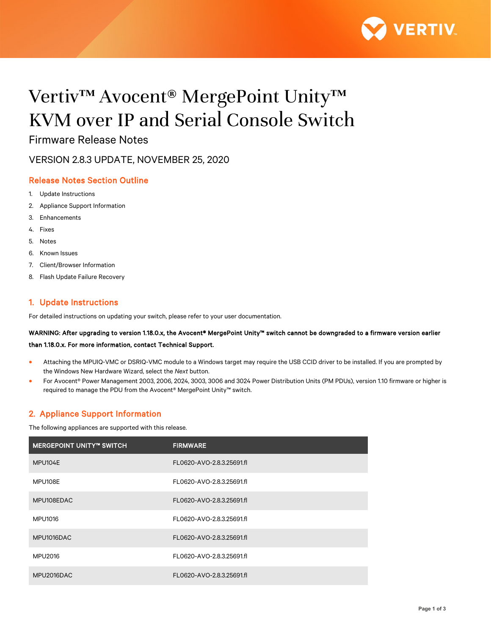

# Vertiv™ Avocent® MergePoint Unity™ KVM over IP and Serial Console Switch

Firmware Release Notes

VERSION 2.8.3 UPDATE, NOVEMBER 25, 2020

# Release Notes Section Outline

- 1. Update Instructions
- 2. Appliance Support Information
- 3. Enhancements
- 4. Fixes
- 5. Notes
- 6. Known Issues
- 7. Client/Browser Information
- 8. Flash Update Failure Recovery

# 1. Update Instructions

For detailed instructions on updating your switch, please refer to your user documentation.

WARNING: After upgrading to version 1.18.0.x, the Avocent® MergePoint Unity™ switch cannot be downgraded to a firmware version earlier than 1.18.0.x. For more information, contact Technical Support.

- Attaching the MPUIQ-VMC or DSRIQ-VMC module to a Windows target may require the USB CCID driver to be installed. If you are prompted by the Windows New Hardware Wizard, select the *Next* button.
- For Avocent® Power Management 2003, 2006, 2024, 3003, 3006 and 3024 Power Distribution Units (PM PDUs), version 1.10 firmware or higher is required to manage the PDU from the Avocent® MergePoint Unity™ switch.

# 2. Appliance Support Information

The following appliances are supported with this release.

| <b>MERGEPOINT UNITY™ SWITCH</b> | <b>FIRMWARE</b>           |
|---------------------------------|---------------------------|
| MPU104E                         | FL0620-AVO-2.8.3.25691.fl |
| MPU108E                         | FL0620-AVO-2.8.3.25691.fl |
| MPU108EDAC                      | FL0620-AVO-2.8.3.25691.fl |
| MPU1016                         | FL0620-AVO-2.8.3.25691.fl |
| MPU1016DAC                      | FL0620-AVO-2.8.3.25691.fl |
| <b>MPU2016</b>                  | FL0620-AVO-2.8.3.25691.fl |
| MPU2016DAC                      | FL0620-AVO-2.8.3.25691.fl |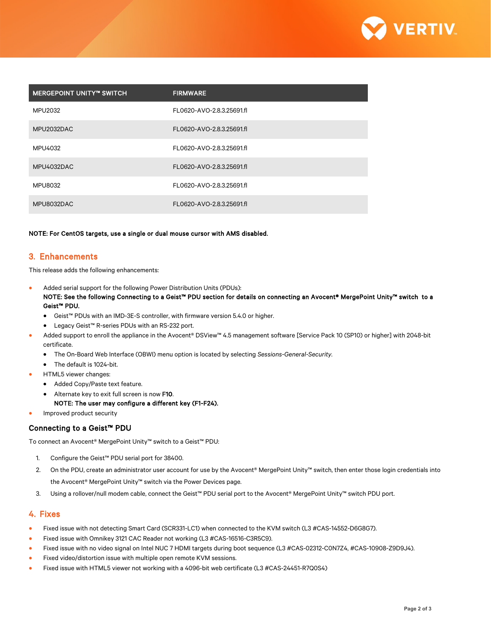

| <b>NERGEPOINT UNITY™ SWITCH</b> | <b>FIRMWARE</b>           |
|---------------------------------|---------------------------|
| MPU2032                         | FL0620-AVO-2.8.3.25691.fl |
| MPU2032DAC                      | FL0620-AVO-2.8.3.25691.fl |
| MPU4032                         | FL0620-AVO-2.8.3.25691.fl |
| MPU4032DAC                      | FL0620-AVO-2.8.3.25691.fl |
| <b>MPU8032</b>                  | FL0620-AVO-2.8.3.25691.fl |
| MPU8032DAC                      | FL0620-AVO-2.8.3.25691.fl |

#### NOTE: For CentOS targets, use a single or dual mouse cursor with AMS disabled.

#### 3. Enhancements

This release adds the following enhancements:

- Added serial support for the following Power Distribution Units (PDUs): NOTE: See the following Connecting to a Geist™ PDU section for details on connecting an Avocent® MergePoint Unity™ switch to a Geist™ PDU.
	- Geist™ PDUs with an IMD-3E-S controller, with firmware version 5.4.0 or higher.
	- Legacy Geist™ R-series PDUs with an RS-232 port.
- Added support to enroll the appliance in the Avocent® DSView™ 4.5 management software [Service Pack 10 (SP10) or higher] with 2048-bit certificate.
	- The On-Board Web Interface (OBWI) menu option is located by selecting *Sessions-General-Security.*
	- The default is 1024-bit.
- HTML5 viewer changes:
	- Added Copy/Paste text feature.
	- Alternate key to exit full screen is now F10.

#### NOTE: The user may configure a different key (F1-F24).

• Improved product security

#### Connecting to a Geist™ PDU

To connect an Avocent® MergePoint Unity™ switch to a Geist™ PDU:

- 1. Configure the Geist™ PDU serial port for 38400.
- 2. On the PDU, create an administrator user account for use by the Avocent® MergePoint Unity™ switch, then enter those login credentials into the Avocent® MergePoint Unity™ switch via the Power Devices page.
- 3. Using a rollover/null modem cable, connect the Geist™ PDU serial port to the Avocent® MergePoint Unity™ switch PDU port.

#### 4. Fixes

- Fixed issue with not detecting Smart Card (SCR331-LC1) when connected to the KVM switch (L3 #CAS-14552-D6G8G7).
- Fixed issue with Omnikey 3121 CAC Reader not working (L3 #CAS-16516-C3R5C9).
- Fixed issue with no video signal on Intel NUC 7 HDMI targets during boot sequence (L3 #CAS-02312-C0N7Z4, #CAS-10908-Z9D9J4).
- Fixed video/distortion issue with multiple open remote KVM sessions.
- Fixed issue with HTML5 viewer not working with a 4096-bit web certificate (L3 #CAS-24451-R7Q0S4)